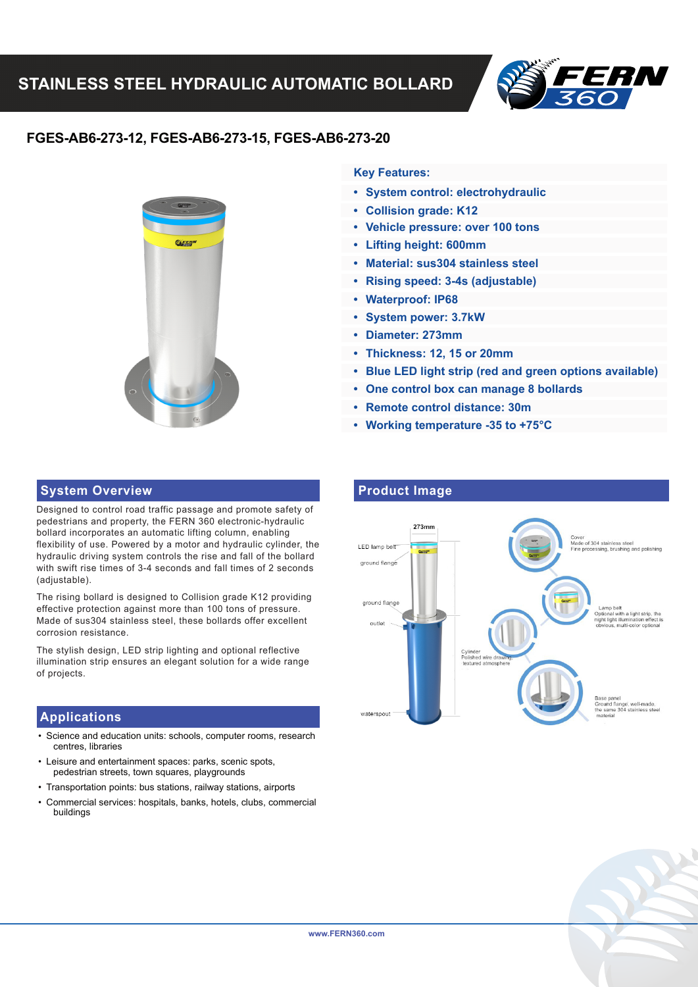

# **FGES-AB6-273-12, FGES-AB6-273-15, FGES-AB6-273-20**



## **Key Features:**

- **System control: electrohydraulic**
- **Collision grade: K12**
- **Vehicle pressure: over 100 tons**
- **Lifting height: 600mm**
- **Material: sus304 stainless steel**
- **Rising speed: 3-4s (adjustable)**
- **Waterproof: IP68**
- **System power: 3.7kW**
- **Diameter: 273mm**
- **Thickness: 12, 15 or 20mm**
- **Blue LED light strip (red and green options available)**
- **One control box can manage 8 bollards**
- **Remote control distance: 30m**
- **Working temperature -35 to +75°C**

#### **System Overview <b>Product Image**

Designed to control road traffic passage and promote safety of pedestrians and property, the FERN 360 electronic-hydraulic bollard incorporates an automatic lifting column, enabling flexibility of use. Powered by a motor and hydraulic cylinder, the hydraulic driving system controls the rise and fall of the bollard with swift rise times of 3-4 seconds and fall times of 2 seconds (adjustable).

The rising bollard is designed to Collision grade K12 providing effective protection against more than 100 tons of pressure. Made of sus304 stainless steel, these bollards offer excellent corrosion resistance.

The stylish design, LED strip lighting and optional reflective illumination strip ensures an elegant solution for a wide range of projects.

### **Applications**

- Science and education units: schools, computer rooms, research centres, libraries
- Leisure and entertainment spaces: parks, scenic spots, pedestrian streets, town squares, playgrounds
- Transportation points: bus stations, railway stations, airports
- Commercial services: hospitals, banks, hotels, clubs, commercial buildings